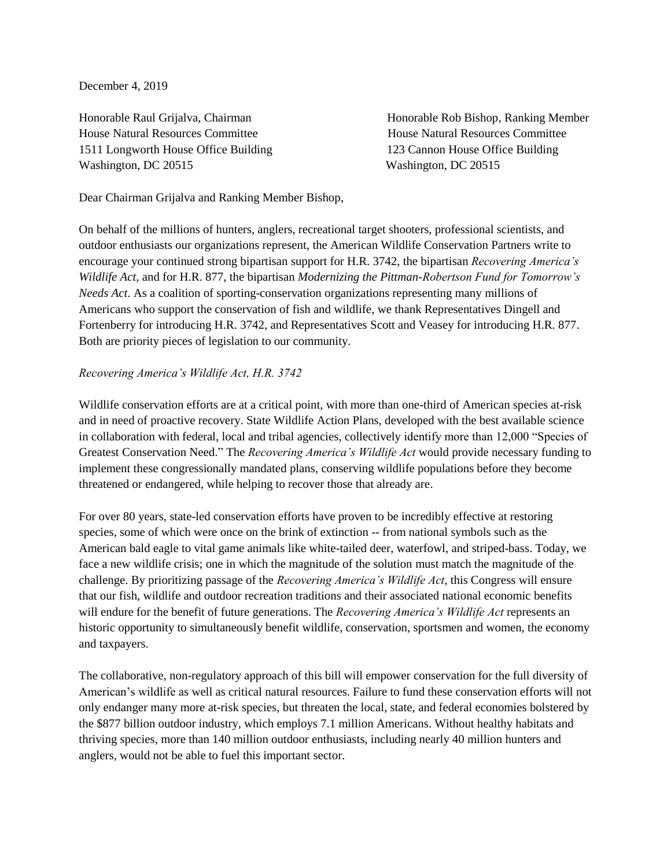December 4, 2019

House Natural Resources Committee House Natural Resources Committee 1511 Longworth House Office Building 123 Cannon House Office Building Washington, DC 20515 Washington, DC 20515

Honorable Raul Grijalva, Chairman Honorable Rob Bishop, Ranking Member

Dear Chairman Grijalva and Ranking Member Bishop,

On behalf of the millions of hunters, anglers, recreational target shooters, professional scientists, and outdoor enthusiasts our organizations represent, the American Wildlife Conservation Partners write to encourage your continued strong bipartisan support for H.R. 3742, the bipartisan *Recovering America's Wildlife Act,* and for H.R. 877, the bipartisan *Modernizing the Pittman-Robertson Fund for Tomorrow's Needs Act*. As a coalition of sporting-conservation organizations representing many millions of Americans who support the conservation of fish and wildlife, we thank Representatives Dingell and Fortenberry for introducing H.R. 3742, and Representatives Scott and Veasey for introducing H.R. 877. Both are priority pieces of legislation to our community.

## *Recovering America's Wildlife Act, H.R. 3742*

Wildlife conservation efforts are at a critical point, with more than one-third of American species at-risk and in need of proactive recovery. State Wildlife Action Plans, developed with the best available science in collaboration with federal, local and tribal agencies, collectively identify more than 12,000 "Species of Greatest Conservation Need." The *Recovering America's Wildlife Act* would provide necessary funding to implement these congressionally mandated plans, conserving wildlife populations before they become threatened or endangered, while helping to recover those that already are.

For over 80 years, state-led conservation efforts have proven to be incredibly effective at restoring species, some of which were once on the brink of extinction -- from national symbols such as the American bald eagle to vital game animals like white-tailed deer, waterfowl, and striped-bass. Today, we face a new wildlife crisis; one in which the magnitude of the solution must match the magnitude of the challenge. By prioritizing passage of the *Recovering America's Wildlife Act*, this Congress will ensure that our fish, wildlife and outdoor recreation traditions and their associated national economic benefits will endure for the benefit of future generations. The *Recovering America's Wildlife Act* represents an historic opportunity to simultaneously benefit wildlife, conservation, sportsmen and women, the economy and taxpayers.

The collaborative, non-regulatory approach of this bill will empower conservation for the full diversity of American's wildlife as well as critical natural resources. Failure to fund these conservation efforts will not only endanger many more at-risk species, but threaten the local, state, and federal economies bolstered by the \$877 billion outdoor industry, which employs 7.1 million Americans. Without healthy habitats and thriving species, more than 140 million outdoor enthusiasts, including nearly 40 million hunters and anglers, would not be able to fuel this important sector.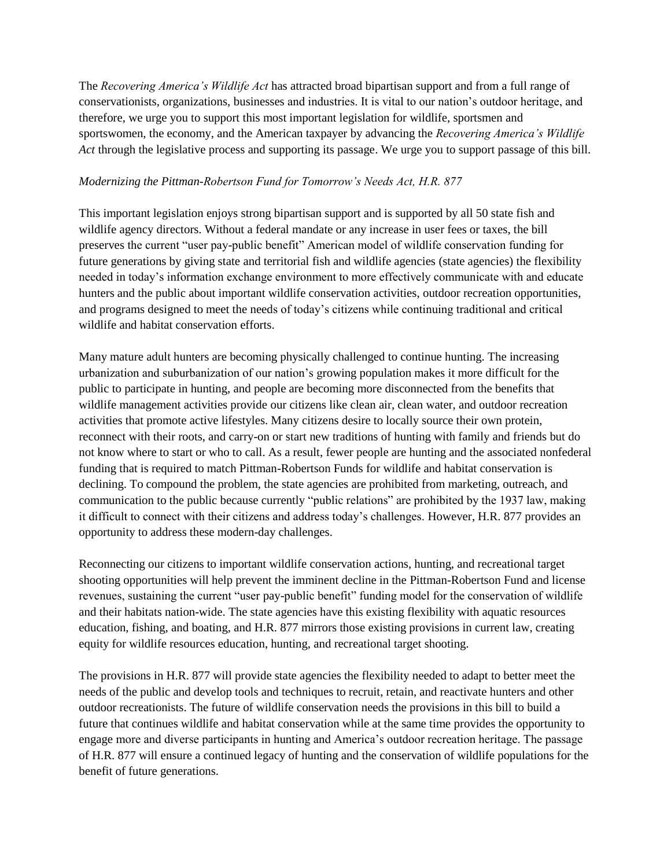The *Recovering America's Wildlife Act* has attracted broad bipartisan support and from a full range of conservationists, organizations, businesses and industries. It is vital to our nation's outdoor heritage, and therefore, we urge you to support this most important legislation for wildlife, sportsmen and sportswomen, the economy, and the American taxpayer by advancing the *Recovering America's Wildlife Act* through the legislative process and supporting its passage. We urge you to support passage of this bill.

## *Modernizing the Pittman-Robertson Fund for Tomorrow's Needs Act, H.R. 877*

This important legislation enjoys strong bipartisan support and is supported by all 50 state fish and wildlife agency directors. Without a federal mandate or any increase in user fees or taxes, the bill preserves the current "user pay-public benefit" American model of wildlife conservation funding for future generations by giving state and territorial fish and wildlife agencies (state agencies) the flexibility needed in today's information exchange environment to more effectively communicate with and educate hunters and the public about important wildlife conservation activities, outdoor recreation opportunities, and programs designed to meet the needs of today's citizens while continuing traditional and critical wildlife and habitat conservation efforts.

Many mature adult hunters are becoming physically challenged to continue hunting. The increasing urbanization and suburbanization of our nation's growing population makes it more difficult for the public to participate in hunting, and people are becoming more disconnected from the benefits that wildlife management activities provide our citizens like clean air, clean water, and outdoor recreation activities that promote active lifestyles. Many citizens desire to locally source their own protein, reconnect with their roots, and carry-on or start new traditions of hunting with family and friends but do not know where to start or who to call. As a result, fewer people are hunting and the associated nonfederal funding that is required to match Pittman-Robertson Funds for wildlife and habitat conservation is declining. To compound the problem, the state agencies are prohibited from marketing, outreach, and communication to the public because currently "public relations" are prohibited by the 1937 law, making it difficult to connect with their citizens and address today's challenges. However, H.R. 877 provides an opportunity to address these modern-day challenges.

Reconnecting our citizens to important wildlife conservation actions, hunting, and recreational target shooting opportunities will help prevent the imminent decline in the Pittman-Robertson Fund and license revenues, sustaining the current "user pay-public benefit" funding model for the conservation of wildlife and their habitats nation-wide. The state agencies have this existing flexibility with aquatic resources education, fishing, and boating, and H.R. 877 mirrors those existing provisions in current law, creating equity for wildlife resources education, hunting, and recreational target shooting.

The provisions in H.R. 877 will provide state agencies the flexibility needed to adapt to better meet the needs of the public and develop tools and techniques to recruit, retain, and reactivate hunters and other outdoor recreationists. The future of wildlife conservation needs the provisions in this bill to build a future that continues wildlife and habitat conservation while at the same time provides the opportunity to engage more and diverse participants in hunting and America's outdoor recreation heritage. The passage of H.R. 877 will ensure a continued legacy of hunting and the conservation of wildlife populations for the benefit of future generations.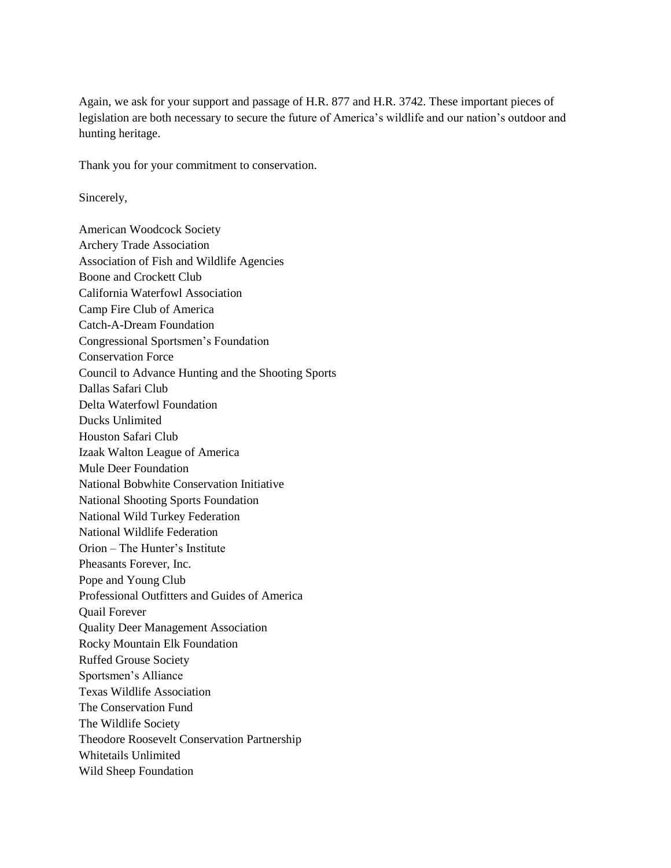Again, we ask for your support and passage of H.R. 877 and H.R. 3742. These important pieces of legislation are both necessary to secure the future of America's wildlife and our nation's outdoor and hunting heritage.

Thank you for your commitment to conservation.

Sincerely,

American Woodcock Society Archery Trade Association Association of Fish and Wildlife Agencies Boone and Crockett Club California Waterfowl Association Camp Fire Club of America Catch-A-Dream Foundation Congressional Sportsmen's Foundation Conservation Force Council to Advance Hunting and the Shooting Sports Dallas Safari Club Delta Waterfowl Foundation Ducks Unlimited Houston Safari Club Izaak Walton League of America Mule Deer Foundation National Bobwhite Conservation Initiative National Shooting Sports Foundation National Wild Turkey Federation National Wildlife Federation Orion – The Hunter's Institute Pheasants Forever, Inc. Pope and Young Club Professional Outfitters and Guides of America Quail Forever Quality Deer Management Association Rocky Mountain Elk Foundation Ruffed Grouse Society Sportsmen's Alliance Texas Wildlife Association The Conservation Fund The Wildlife Society Theodore Roosevelt Conservation Partnership Whitetails Unlimited Wild Sheep Foundation